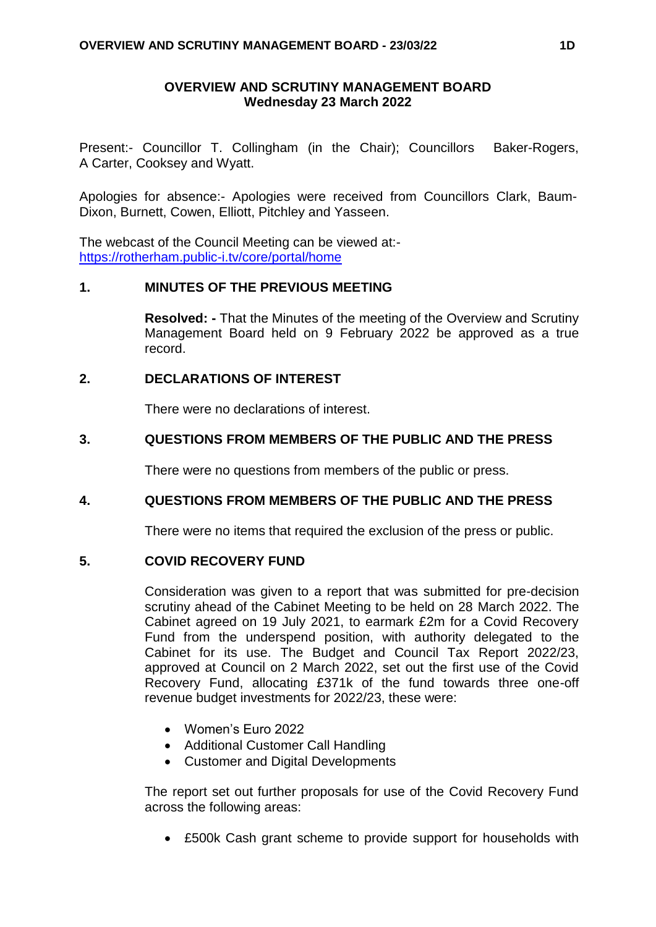### **OVERVIEW AND SCRUTINY MANAGEMENT BOARD Wednesday 23 March 2022**

Present:- Councillor T. Collingham (in the Chair); Councillors Baker-Rogers, A Carter, Cooksey and Wyatt.

Apologies for absence:- Apologies were received from Councillors Clark, Baum-Dixon, Burnett, Cowen, Elliott, Pitchley and Yasseen.

The webcast of the Council Meeting can be viewed at: <https://rotherham.public-i.tv/core/portal/home>

### **1. MINUTES OF THE PREVIOUS MEETING**

**Resolved: -** That the Minutes of the meeting of the Overview and Scrutiny Management Board held on 9 February 2022 be approved as a true record.

# **2. DECLARATIONS OF INTEREST**

There were no declarations of interest.

### **3. QUESTIONS FROM MEMBERS OF THE PUBLIC AND THE PRESS**

There were no questions from members of the public or press.

### **4. QUESTIONS FROM MEMBERS OF THE PUBLIC AND THE PRESS**

There were no items that required the exclusion of the press or public.

### **5. COVID RECOVERY FUND**

Consideration was given to a report that was submitted for pre-decision scrutiny ahead of the Cabinet Meeting to be held on 28 March 2022. The Cabinet agreed on 19 July 2021, to earmark £2m for a Covid Recovery Fund from the underspend position, with authority delegated to the Cabinet for its use. The Budget and Council Tax Report 2022/23, approved at Council on 2 March 2022, set out the first use of the Covid Recovery Fund, allocating £371k of the fund towards three one-off revenue budget investments for 2022/23, these were:

- Women's Euro 2022
- Additional Customer Call Handling
- Customer and Digital Developments

The report set out further proposals for use of the Covid Recovery Fund across the following areas:

£500k Cash grant scheme to provide support for households with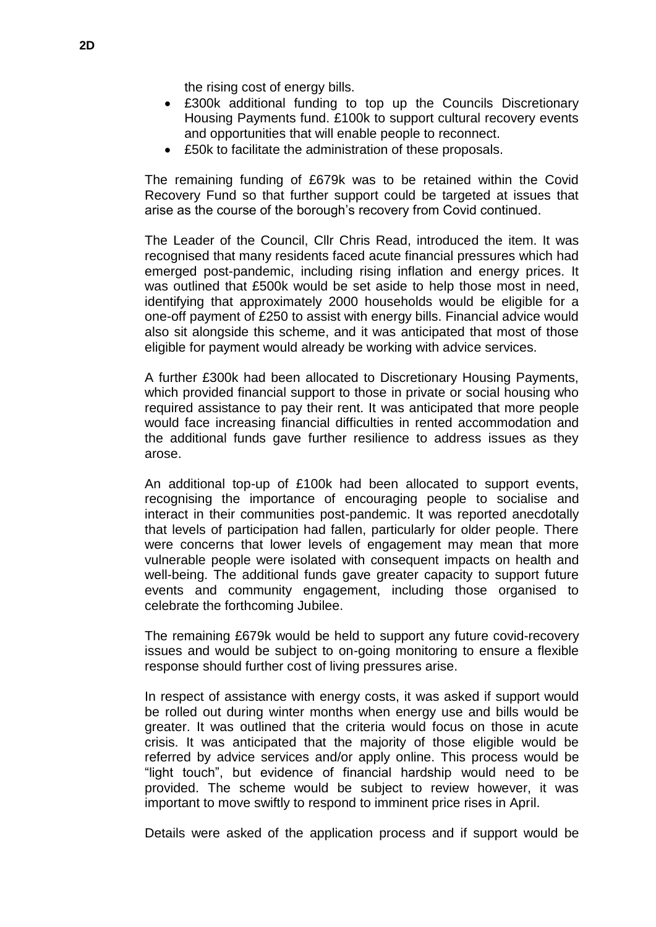the rising cost of energy bills.

- £300k additional funding to top up the Councils Discretionary Housing Payments fund. £100k to support cultural recovery events and opportunities that will enable people to reconnect.
- £50k to facilitate the administration of these proposals.

The remaining funding of £679k was to be retained within the Covid Recovery Fund so that further support could be targeted at issues that arise as the course of the borough's recovery from Covid continued.

The Leader of the Council, Cllr Chris Read, introduced the item. It was recognised that many residents faced acute financial pressures which had emerged post-pandemic, including rising inflation and energy prices. It was outlined that £500k would be set aside to help those most in need, identifying that approximately 2000 households would be eligible for a one-off payment of £250 to assist with energy bills. Financial advice would also sit alongside this scheme, and it was anticipated that most of those eligible for payment would already be working with advice services.

A further £300k had been allocated to Discretionary Housing Payments, which provided financial support to those in private or social housing who required assistance to pay their rent. It was anticipated that more people would face increasing financial difficulties in rented accommodation and the additional funds gave further resilience to address issues as they arose.

An additional top-up of £100k had been allocated to support events, recognising the importance of encouraging people to socialise and interact in their communities post-pandemic. It was reported anecdotally that levels of participation had fallen, particularly for older people. There were concerns that lower levels of engagement may mean that more vulnerable people were isolated with consequent impacts on health and well-being. The additional funds gave greater capacity to support future events and community engagement, including those organised to celebrate the forthcoming Jubilee.

The remaining £679k would be held to support any future covid-recovery issues and would be subject to on-going monitoring to ensure a flexible response should further cost of living pressures arise.

In respect of assistance with energy costs, it was asked if support would be rolled out during winter months when energy use and bills would be greater. It was outlined that the criteria would focus on those in acute crisis. It was anticipated that the majority of those eligible would be referred by advice services and/or apply online. This process would be "light touch", but evidence of financial hardship would need to be provided. The scheme would be subject to review however, it was important to move swiftly to respond to imminent price rises in April.

Details were asked of the application process and if support would be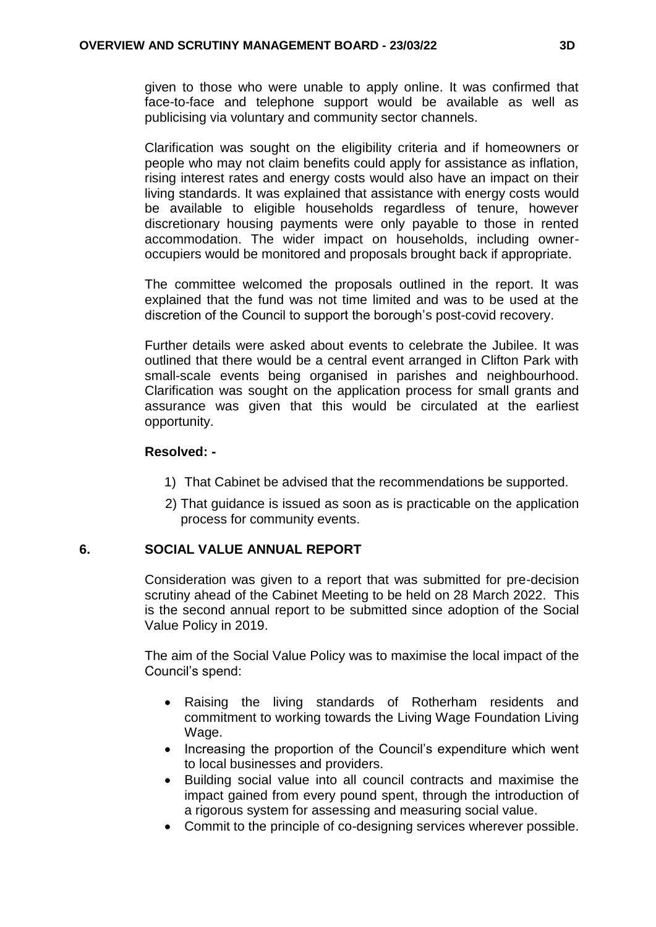given to those who were unable to apply online. It was confirmed that face-to-face and telephone support would be available as well as publicising via voluntary and community sector channels.

Clarification was sought on the eligibility criteria and if homeowners or people who may not claim benefits could apply for assistance as inflation, rising interest rates and energy costs would also have an impact on their living standards. It was explained that assistance with energy costs would be available to eligible households regardless of tenure, however discretionary housing payments were only payable to those in rented accommodation. The wider impact on households, including owneroccupiers would be monitored and proposals brought back if appropriate.

The committee welcomed the proposals outlined in the report. It was explained that the fund was not time limited and was to be used at the discretion of the Council to support the borough's post-covid recovery.

Further details were asked about events to celebrate the Jubilee. It was outlined that there would be a central event arranged in Clifton Park with small-scale events being organised in parishes and neighbourhood. Clarification was sought on the application process for small grants and assurance was given that this would be circulated at the earliest opportunity.

# **Resolved: -**

- 1) That Cabinet be advised that the recommendations be supported.
- 2) That guidance is issued as soon as is practicable on the application process for community events.

# **6. SOCIAL VALUE ANNUAL REPORT**

Consideration was given to a report that was submitted for pre-decision scrutiny ahead of the Cabinet Meeting to be held on 28 March 2022. This is the second annual report to be submitted since adoption of the Social Value Policy in 2019.

The aim of the Social Value Policy was to maximise the local impact of the Council's spend:

- Raising the living standards of Rotherham residents and commitment to working towards the Living Wage Foundation Living Wage.
- Increasing the proportion of the Council's expenditure which went to local businesses and providers.
- Building social value into all council contracts and maximise the impact gained from every pound spent, through the introduction of a rigorous system for assessing and measuring social value.
- Commit to the principle of co-designing services wherever possible.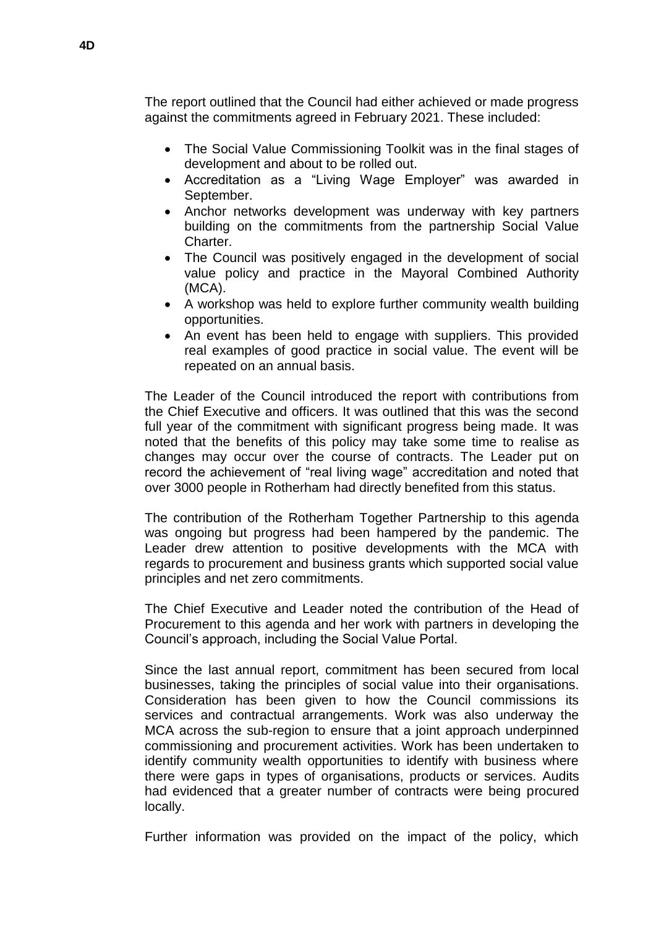The report outlined that the Council had either achieved or made progress against the commitments agreed in February 2021. These included:

- The Social Value Commissioning Toolkit was in the final stages of development and about to be rolled out.
- Accreditation as a "Living Wage Employer" was awarded in September.
- Anchor networks development was underway with key partners building on the commitments from the partnership Social Value Charter.
- The Council was positively engaged in the development of social value policy and practice in the Mayoral Combined Authority (MCA).
- A workshop was held to explore further community wealth building opportunities.
- An event has been held to engage with suppliers. This provided real examples of good practice in social value. The event will be repeated on an annual basis.

The Leader of the Council introduced the report with contributions from the Chief Executive and officers. It was outlined that this was the second full year of the commitment with significant progress being made. It was noted that the benefits of this policy may take some time to realise as changes may occur over the course of contracts. The Leader put on record the achievement of "real living wage" accreditation and noted that over 3000 people in Rotherham had directly benefited from this status.

The contribution of the Rotherham Together Partnership to this agenda was ongoing but progress had been hampered by the pandemic. The Leader drew attention to positive developments with the MCA with regards to procurement and business grants which supported social value principles and net zero commitments.

The Chief Executive and Leader noted the contribution of the Head of Procurement to this agenda and her work with partners in developing the Council's approach, including the Social Value Portal.

Since the last annual report, commitment has been secured from local businesses, taking the principles of social value into their organisations. Consideration has been given to how the Council commissions its services and contractual arrangements. Work was also underway the MCA across the sub-region to ensure that a joint approach underpinned commissioning and procurement activities. Work has been undertaken to identify community wealth opportunities to identify with business where there were gaps in types of organisations, products or services. Audits had evidenced that a greater number of contracts were being procured locally.

Further information was provided on the impact of the policy, which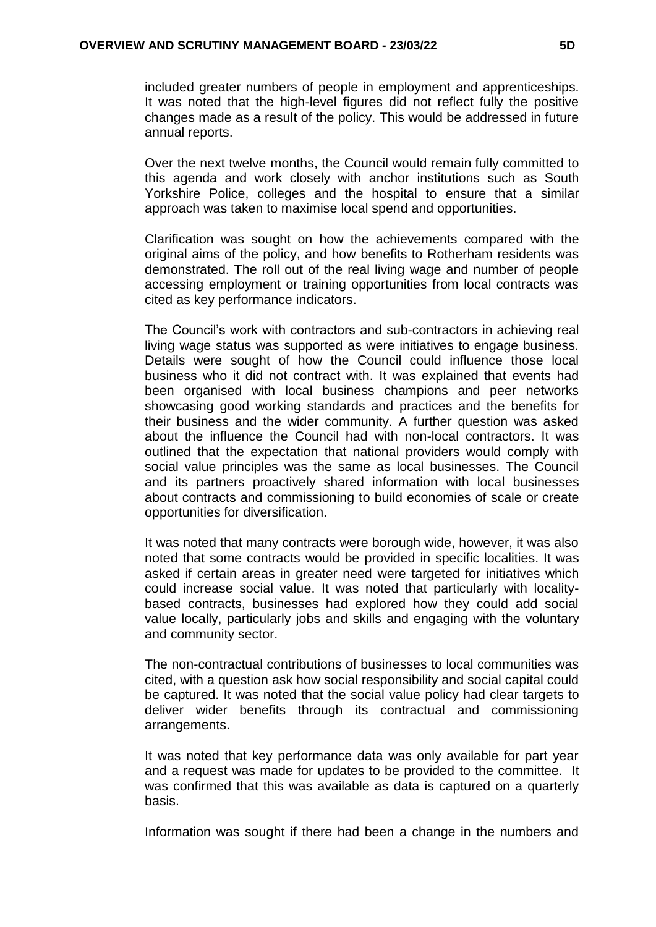included greater numbers of people in employment and apprenticeships. It was noted that the high-level figures did not reflect fully the positive changes made as a result of the policy. This would be addressed in future annual reports.

Over the next twelve months, the Council would remain fully committed to this agenda and work closely with anchor institutions such as South Yorkshire Police, colleges and the hospital to ensure that a similar approach was taken to maximise local spend and opportunities.

Clarification was sought on how the achievements compared with the original aims of the policy, and how benefits to Rotherham residents was demonstrated. The roll out of the real living wage and number of people accessing employment or training opportunities from local contracts was cited as key performance indicators.

The Council's work with contractors and sub-contractors in achieving real living wage status was supported as were initiatives to engage business. Details were sought of how the Council could influence those local business who it did not contract with. It was explained that events had been organised with local business champions and peer networks showcasing good working standards and practices and the benefits for their business and the wider community. A further question was asked about the influence the Council had with non-local contractors. It was outlined that the expectation that national providers would comply with social value principles was the same as local businesses. The Council and its partners proactively shared information with local businesses about contracts and commissioning to build economies of scale or create opportunities for diversification.

It was noted that many contracts were borough wide, however, it was also noted that some contracts would be provided in specific localities. It was asked if certain areas in greater need were targeted for initiatives which could increase social value. It was noted that particularly with localitybased contracts, businesses had explored how they could add social value locally, particularly jobs and skills and engaging with the voluntary and community sector.

The non-contractual contributions of businesses to local communities was cited, with a question ask how social responsibility and social capital could be captured. It was noted that the social value policy had clear targets to deliver wider benefits through its contractual and commissioning arrangements.

It was noted that key performance data was only available for part year and a request was made for updates to be provided to the committee. It was confirmed that this was available as data is captured on a quarterly basis.

Information was sought if there had been a change in the numbers and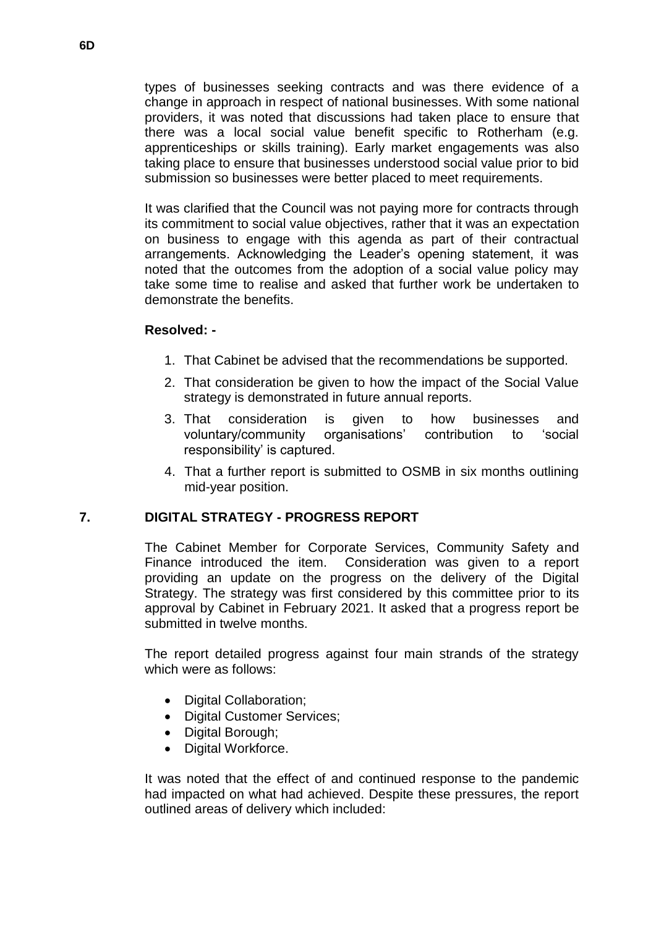types of businesses seeking contracts and was there evidence of a change in approach in respect of national businesses. With some national providers, it was noted that discussions had taken place to ensure that there was a local social value benefit specific to Rotherham (e.g. apprenticeships or skills training). Early market engagements was also taking place to ensure that businesses understood social value prior to bid submission so businesses were better placed to meet requirements.

It was clarified that the Council was not paying more for contracts through its commitment to social value objectives, rather that it was an expectation on business to engage with this agenda as part of their contractual arrangements. Acknowledging the Leader's opening statement, it was noted that the outcomes from the adoption of a social value policy may take some time to realise and asked that further work be undertaken to demonstrate the benefits.

### **Resolved: -**

- 1. That Cabinet be advised that the recommendations be supported.
- 2. That consideration be given to how the impact of the Social Value strategy is demonstrated in future annual reports.
- 3. That consideration is given to how businesses and voluntary/community organisations' contribution to 'social responsibility' is captured.
- 4. That a further report is submitted to OSMB in six months outlining mid-year position.

# **7. DIGITAL STRATEGY - PROGRESS REPORT**

The Cabinet Member for Corporate Services, Community Safety and Finance introduced the item. Consideration was given to a report providing an update on the progress on the delivery of the Digital Strategy. The strategy was first considered by this committee prior to its approval by Cabinet in February 2021. It asked that a progress report be submitted in twelve months.

The report detailed progress against four main strands of the strategy which were as follows:

- Digital Collaboration;
- Digital Customer Services;
- Digital Borough;
- Digital Workforce.

It was noted that the effect of and continued response to the pandemic had impacted on what had achieved. Despite these pressures, the report outlined areas of delivery which included: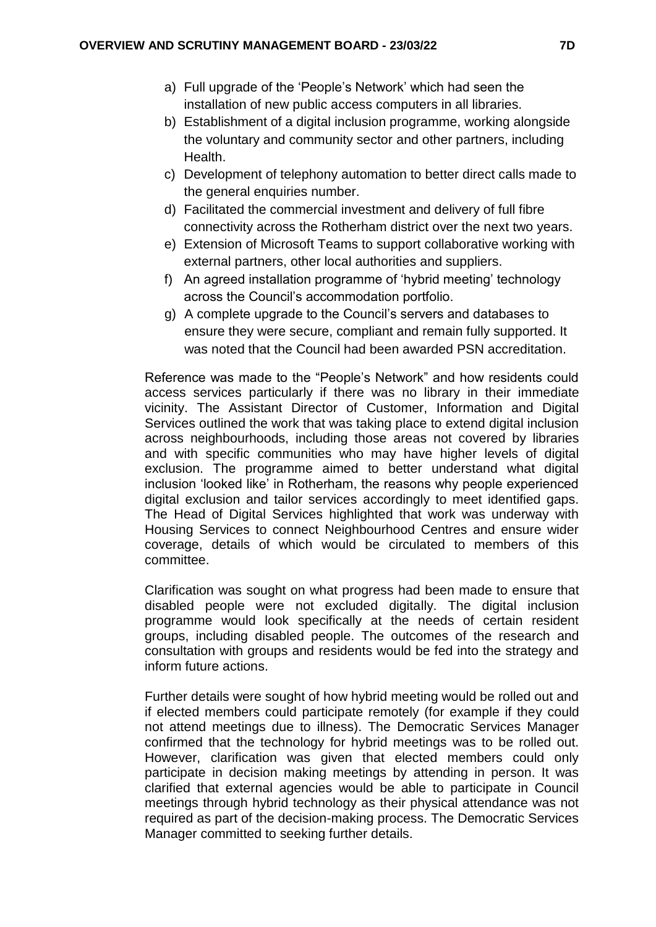- a) Full upgrade of the 'People's Network' which had seen the installation of new public access computers in all libraries.
- b) Establishment of a digital inclusion programme, working alongside the voluntary and community sector and other partners, including Health.
- c) Development of telephony automation to better direct calls made to the general enquiries number.
- d) Facilitated the commercial investment and delivery of full fibre connectivity across the Rotherham district over the next two years.
- e) Extension of Microsoft Teams to support collaborative working with external partners, other local authorities and suppliers.
- f) An agreed installation programme of 'hybrid meeting' technology across the Council's accommodation portfolio.
- g) A complete upgrade to the Council's servers and databases to ensure they were secure, compliant and remain fully supported. It was noted that the Council had been awarded PSN accreditation.

Reference was made to the "People's Network" and how residents could access services particularly if there was no library in their immediate vicinity. The Assistant Director of Customer, Information and Digital Services outlined the work that was taking place to extend digital inclusion across neighbourhoods, including those areas not covered by libraries and with specific communities who may have higher levels of digital exclusion. The programme aimed to better understand what digital inclusion 'looked like' in Rotherham, the reasons why people experienced digital exclusion and tailor services accordingly to meet identified gaps. The Head of Digital Services highlighted that work was underway with Housing Services to connect Neighbourhood Centres and ensure wider coverage, details of which would be circulated to members of this committee.

Clarification was sought on what progress had been made to ensure that disabled people were not excluded digitally. The digital inclusion programme would look specifically at the needs of certain resident groups, including disabled people. The outcomes of the research and consultation with groups and residents would be fed into the strategy and inform future actions.

Further details were sought of how hybrid meeting would be rolled out and if elected members could participate remotely (for example if they could not attend meetings due to illness). The Democratic Services Manager confirmed that the technology for hybrid meetings was to be rolled out. However, clarification was given that elected members could only participate in decision making meetings by attending in person. It was clarified that external agencies would be able to participate in Council meetings through hybrid technology as their physical attendance was not required as part of the decision-making process. The Democratic Services Manager committed to seeking further details.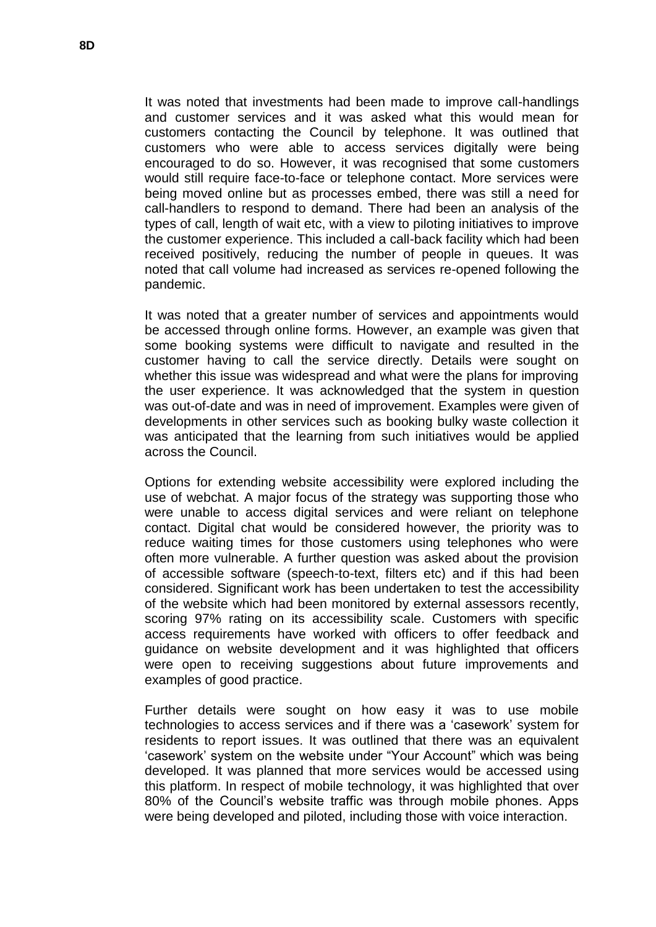It was noted that investments had been made to improve call-handlings and customer services and it was asked what this would mean for customers contacting the Council by telephone. It was outlined that customers who were able to access services digitally were being encouraged to do so. However, it was recognised that some customers would still require face-to-face or telephone contact. More services were being moved online but as processes embed, there was still a need for call-handlers to respond to demand. There had been an analysis of the types of call, length of wait etc, with a view to piloting initiatives to improve the customer experience. This included a call-back facility which had been received positively, reducing the number of people in queues. It was noted that call volume had increased as services re-opened following the pandemic.

It was noted that a greater number of services and appointments would be accessed through online forms. However, an example was given that some booking systems were difficult to navigate and resulted in the customer having to call the service directly. Details were sought on whether this issue was widespread and what were the plans for improving the user experience. It was acknowledged that the system in question was out-of-date and was in need of improvement. Examples were given of developments in other services such as booking bulky waste collection it was anticipated that the learning from such initiatives would be applied across the Council.

Options for extending website accessibility were explored including the use of webchat. A major focus of the strategy was supporting those who were unable to access digital services and were reliant on telephone contact. Digital chat would be considered however, the priority was to reduce waiting times for those customers using telephones who were often more vulnerable. A further question was asked about the provision of accessible software (speech-to-text, filters etc) and if this had been considered. Significant work has been undertaken to test the accessibility of the website which had been monitored by external assessors recently, scoring 97% rating on its accessibility scale. Customers with specific access requirements have worked with officers to offer feedback and guidance on website development and it was highlighted that officers were open to receiving suggestions about future improvements and examples of good practice.

Further details were sought on how easy it was to use mobile technologies to access services and if there was a 'casework' system for residents to report issues. It was outlined that there was an equivalent 'casework' system on the website under "Your Account" which was being developed. It was planned that more services would be accessed using this platform. In respect of mobile technology, it was highlighted that over 80% of the Council's website traffic was through mobile phones. Apps were being developed and piloted, including those with voice interaction.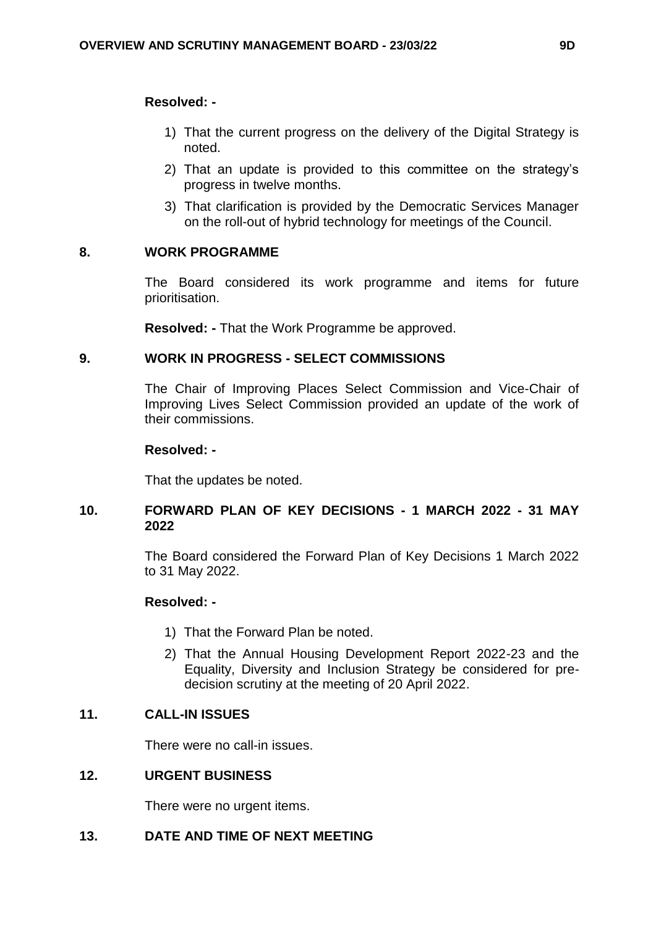#### **Resolved: -**

- 1) That the current progress on the delivery of the Digital Strategy is noted.
- 2) That an update is provided to this committee on the strategy's progress in twelve months.
- 3) That clarification is provided by the Democratic Services Manager on the roll-out of hybrid technology for meetings of the Council.

# **8. WORK PROGRAMME**

The Board considered its work programme and items for future prioritisation.

**Resolved: -** That the Work Programme be approved.

# **9. WORK IN PROGRESS - SELECT COMMISSIONS**

The Chair of Improving Places Select Commission and Vice-Chair of Improving Lives Select Commission provided an update of the work of their commissions.

#### **Resolved: -**

That the updates be noted.

# **10. FORWARD PLAN OF KEY DECISIONS - 1 MARCH 2022 - 31 MAY 2022**

The Board considered the Forward Plan of Key Decisions 1 March 2022 to 31 May 2022.

# **Resolved: -**

- 1) That the Forward Plan be noted.
- 2) That the Annual Housing Development Report 2022-23 and the Equality, Diversity and Inclusion Strategy be considered for predecision scrutiny at the meeting of 20 April 2022.

# **11. CALL-IN ISSUES**

There were no call-in issues.

# **12. URGENT BUSINESS**

There were no urgent items.

# **13. DATE AND TIME OF NEXT MEETING**